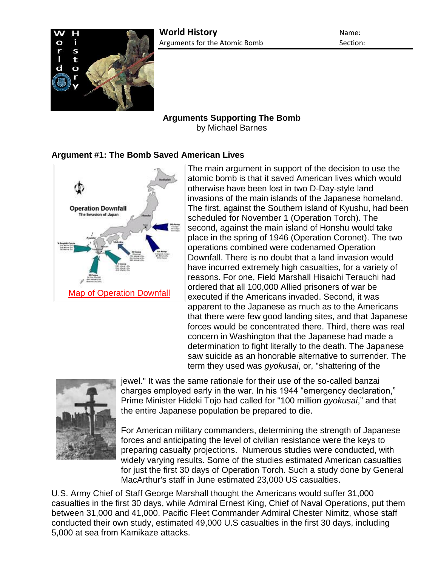

# **Arguments Supporting The Bomb**

by Michael Barnes

## **Argument #1: The Bomb Saved American Lives**



The main argument in support of the decision to use the atomic bomb is that it saved American lives which would otherwise have been lost in two D-Day-style land invasions of the main islands of the Japanese homeland. The first, against the Southern island of Kyushu, had been scheduled for November 1 (Operation Torch). The second, against the main island of Honshu would take place in the spring of 1946 (Operation Coronet). The two operations combined were codenamed Operation Downfall. There is no doubt that a land invasion would have incurred extremely high casualties, for a variety of reasons. For one, Field Marshall Hisaichi Terauchi had ordered that all 100,000 Allied prisoners of war be executed if the Americans invaded. Second, it was apparent to the Japanese as much as to the Americans that there were few good landing sites, and that Japanese forces would be concentrated there. Third, there was real concern in Washington that the Japanese had made a determination to fight literally to the death. The Japanese saw suicide as an honorable alternative to surrender. The term they used was *gyokusai*, or, "shattering of the



jewel." It was the same rationale for their use of the so-called banzai charges employed early in the war. In his 1944 "emergency declaration," Prime Minister Hideki Tojo had called for "100 million *gyokusai*," and that the entire Japanese population be prepared to die.

For American military commanders, determining the strength of Japanese forces and anticipating the level of civilian resistance were the keys to preparing casualty projections. Numerous studies were conducted, with widely varying results. Some of the studies estimated American casualties for just the first 30 days of Operation Torch. Such a study done by General MacArthur's staff in June estimated 23,000 US casualties.

U.S. Army Chief of Staff George Marshall thought the Americans would suffer 31,000 casualties in the first 30 days, while Admiral Ernest King, Chief of Naval Operations, put them between 31,000 and 41,000. Pacific Fleet Commander Admiral Chester Nimitz, whose staff conducted their own study, estimated 49,000 U.S casualties in the first 30 days, including 5,000 at sea from Kamikaze attacks.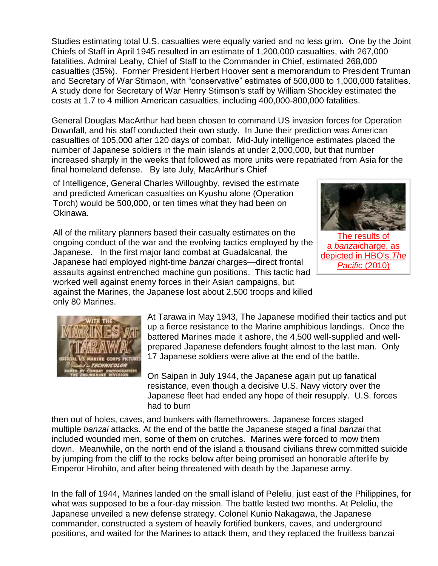Studies estimating total U.S. casualties were equally varied and no less grim. One by the Joint Chiefs of Staff in April 1945 resulted in an estimate of 1,200,000 casualties, with 267,000 fatalities. Admiral Leahy, Chief of Staff to the Commander in Chief, estimated 268,000 casualties (35%). Former President Herbert Hoover sent a memorandum to President Truman and Secretary of War Stimson, with "conservative" estimates of 500,000 to 1,000,000 fatalities. A study done for Secretary of War Henry Stimson's staff by William Shockley estimated the costs at 1.7 to 4 million American casualties, including 400,000-800,000 fatalities.

General Douglas MacArthur had been chosen to command US invasion forces for Operation Downfall, and his staff conducted their own study. In June their prediction was American casualties of 105,000 after 120 days of combat. Mid-July intelligence estimates placed the number of Japanese soldiers in the main islands at under 2,000,000, but that number increased sharply in the weeks that followed as more units were repatriated from Asia for the final homeland defense. By late July, MacArthur's Chief

of Intelligence, General Charles Willoughby, revised the estimate and predicted American casualties on Kyushu alone (Operation Torch) would be 500,000, or ten times what they had been on Okinawa.



[The results of](http://www.authentichistory.com/1939-1945/1-war/4-Pacific/4-abombdecision/2-support/Banzai_Charge_Results-The_Pacific.jpg)  a *banzai*[charge, as](http://www.authentichistory.com/1939-1945/1-war/4-Pacific/4-abombdecision/2-support/Banzai_Charge_Results-The_Pacific.jpg)  [depicted in HBO's](http://www.authentichistory.com/1939-1945/1-war/4-Pacific/4-abombdecision/2-support/Banzai_Charge_Results-The_Pacific.jpg) *The [Pacific](http://www.authentichistory.com/1939-1945/1-war/4-Pacific/4-abombdecision/2-support/Banzai_Charge_Results-The_Pacific.jpg)* (2010)

All of the military planners based their casualty estimates on the ongoing conduct of the war and the evolving tactics employed by the Japanese. In the first major land combat at Guadalcanal, the Japanese had employed night-time *banzai* charges—direct frontal assaults against entrenched machine gun positions. This tactic had worked well against enemy forces in their Asian campaigns, but against the Marines, the Japanese lost about 2,500 troops and killed only 80 Marines.



At Tarawa in May 1943, The Japanese modified their tactics and put up a fierce resistance to the Marine amphibious landings. Once the battered Marines made it ashore, the 4,500 well-supplied and wellprepared Japanese defenders fought almost to the last man. Only 17 Japanese soldiers were alive at the end of the battle.

On Saipan in July 1944, the Japanese again put up fanatical resistance, even though a decisive U.S. Navy victory over the Japanese fleet had ended any hope of their resupply. U.S. forces had to burn

then out of holes, caves, and bunkers with flamethrowers. Japanese forces staged multiple *banzai* attacks. At the end of the battle the Japanese staged a final *banzai* that included wounded men, some of them on crutches. Marines were forced to mow them down. Meanwhile, on the north end of the island a thousand civilians threw committed suicide by jumping from the cliff to the rocks below after being promised an honorable afterlife by Emperor Hirohito, and after being threatened with death by the Japanese army.

In the fall of 1944, Marines landed on the small island of Peleliu, just east of the Philippines, for what was supposed to be a four-day mission. The battle lasted two months. At Peleliu, the Japanese unveiled a new defense strategy. Colonel Kunio Nakagawa, the Japanese commander, constructed a system of heavily fortified bunkers, caves, and underground positions, and waited for the Marines to attack them, and they replaced the fruitless banzai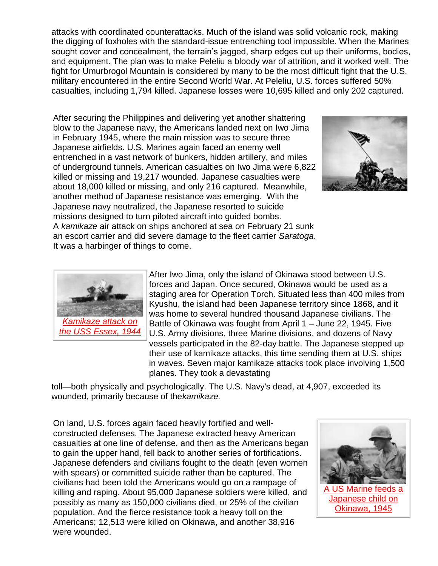attacks with coordinated counterattacks. Much of the island was solid volcanic rock, making the digging of foxholes with the standard-issue entrenching tool impossible. When the Marines sought cover and concealment, the terrain's jagged, sharp edges cut up their uniforms, bodies, and equipment. The plan was to make Peleliu a bloody war of attrition, and it worked well. The fight for Umurbrogol Mountain is considered by many to be the most difficult fight that the U.S. military encountered in the entire Second World War. At Peleliu, U.S. forces suffered 50% casualties, including 1,794 killed. Japanese losses were 10,695 killed and only 202 captured.

After securing the Philippines and delivering yet another shattering blow to the Japanese navy, the Americans landed next on Iwo Jima in February 1945, where the main mission was to secure three Japanese airfields. U.S. Marines again faced an enemy well entrenched in a vast network of bunkers, hidden artillery, and miles of underground tunnels. American casualties on Iwo Jima were 6,822 killed or missing and 19,217 wounded. Japanese casualties were about 18,000 killed or missing, and only 216 captured. Meanwhile, another method of Japanese resistance was emerging. With the Japanese navy neutralized, the Japanese resorted to suicide missions designed to turn piloted aircraft into guided bombs. A *kamikaze* air attack on ships anchored at sea on February 21 sunk an escort carrier and did severe damage to the fleet carrier *Saratoga*. It was a harbinger of things to come.





After Iwo Jima, only the island of Okinawa stood between U.S. forces and Japan. Once secured, Okinawa would be used as a staging area for Operation Torch. Situated less than 400 miles from Kyushu, the island had been Japanese territory since 1868, and it was home to several hundred thousand Japanese civilians. The Battle of Okinawa was fought from April 1 – June 22, 1945. Five U.S. Army divisions, three Marine divisions, and dozens of Navy vessels participated in the 82-day battle. The Japanese stepped up their use of kamikaze attacks, this time sending them at U.S. ships in waves. Seven major kamikaze attacks took place involving 1,500 planes. They took a devastating

toll—both physically and psychologically. The U.S. Navy's dead, at 4,907, exceeded its wounded, primarily because of the*kamikaze.*

On land, U.S. forces again faced heavily fortified and wellconstructed defenses. The Japanese extracted heavy American casualties at one line of defense, and then as the Americans began to gain the upper hand, fell back to another series of fortifications. Japanese defenders and civilians fought to the death (even women with spears) or committed suicide rather than be captured. The civilians had been told the Americans would go on a rampage of killing and raping. About 95,000 Japanese soldiers were killed, and possibly as many as 150,000 civilians died, or 25% of the civilian population. And the fierce resistance took a heavy toll on the Americans; 12,513 were killed on Okinawa, and another 38,916 were wounded.

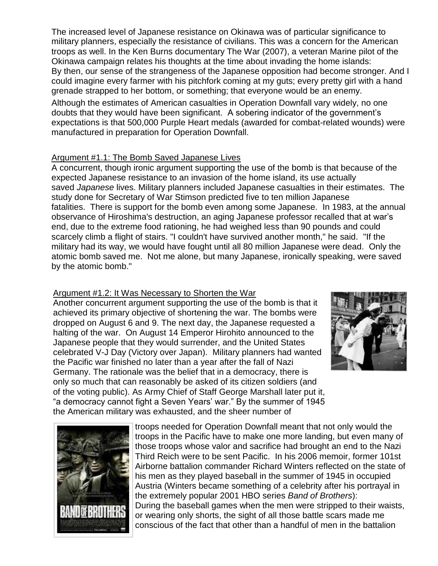The increased level of Japanese resistance on Okinawa was of particular significance to military planners, especially the resistance of civilians. This was a concern for the American troops as well. In the Ken Burns documentary The War (2007), a veteran Marine pilot of the Okinawa campaign relates his thoughts at the time about invading the home islands: By then, our sense of the strangeness of the Japanese opposition had become stronger. And I could imagine every farmer with his pitchfork coming at my guts; every pretty girl with a hand grenade strapped to her bottom, or something; that everyone would be an enemy.

Although the estimates of American casualties in Operation Downfall vary widely, no one doubts that they would have been significant. A sobering indicator of the government's expectations is that 500,000 Purple Heart medals (awarded for combat-related wounds) were manufactured in preparation for Operation Downfall.

#### Argument #1.1: The Bomb Saved Japanese Lives

A concurrent, though ironic argument supporting the use of the bomb is that because of the expected Japanese resistance to an invasion of the home island, its use actually saved *Japanese* lives. Military planners included Japanese casualties in their estimates. The study done for Secretary of War Stimson predicted five to ten million Japanese fatalities. There is support for the bomb even among some Japanese. In 1983, at the annual observance of Hiroshima's destruction, an aging Japanese professor recalled that at war's end, due to the extreme food rationing, he had weighed less than 90 pounds and could scarcely climb a flight of stairs. "I couldn't have survived another month," he said. "If the military had its way, we would have fought until all 80 million Japanese were dead. Only the atomic bomb saved me. Not me alone, but many Japanese, ironically speaking, were saved by the atomic bomb."

### Argument #1.2: It Was Necessary to Shorten the War

Another concurrent argument supporting the use of the bomb is that it achieved its primary objective of shortening the war. The bombs were dropped on August 6 and 9. The next day, the Japanese requested a halting of the war. On August 14 Emperor Hirohito announced to the Japanese people that they would surrender, and the United States celebrated V-J Day (Victory over Japan). Military planners had wanted the Pacific war finished no later than a year after the fall of Nazi Germany. The rationale was the belief that in a democracy, there is only so much that can reasonably be asked of its citizen soldiers (and of the voting public). As Army Chief of Staff George Marshall later put it, "a democracy cannot fight a Seven Years' war." By the summer of 1945 the American military was exhausted, and the sheer number of





troops needed for Operation Downfall meant that not only would the troops in the Pacific have to make one more landing, but even many of those troops whose valor and sacrifice had brought an end to the Nazi Third Reich were to be sent Pacific. In his 2006 memoir, former 101st Airborne battalion commander Richard Winters reflected on the state of his men as they played baseball in the summer of 1945 in occupied Austria (Winters became something of a celebrity after his portrayal in the extremely popular 2001 HBO series *Band of Brothers*): During the baseball games when the men were stripped to their waists, or wearing only shorts, the sight of all those battle scars made me conscious of the fact that other than a handful of men in the battalion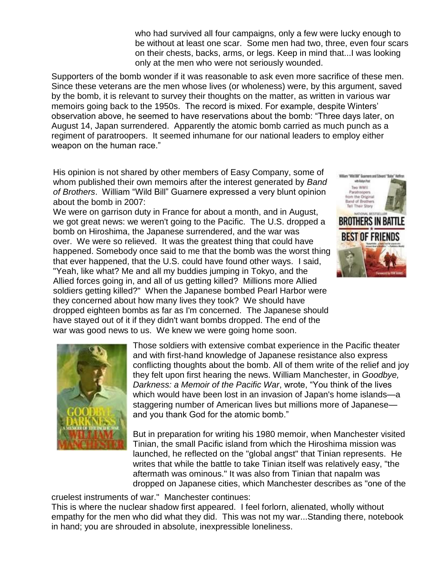who had survived all four campaigns, only a few were lucky enough to be without at least one scar. Some men had two, three, even four scars on their chests, backs, arms, or legs. Keep in mind that...I was looking only at the men who were not seriously wounded.

Supporters of the bomb wonder if it was reasonable to ask even more sacrifice of these men. Since these veterans are the men whose lives (or wholeness) were, by this argument, saved by the bomb, it is relevant to survey their thoughts on the matter, as written in various war memoirs going back to the 1950s. The record is mixed. For example, despite Winters' observation above, he seemed to have reservations about the bomb: "Three days later, on August 14, Japan surrendered. Apparently the atomic bomb carried as much punch as a regiment of paratroopers. It seemed inhumane for our national leaders to employ either weapon on the human race."

His opinion is not shared by other members of Easy Company, some of whom published their own memoirs after the interest generated by *Band of Brothers*. William "Wild Bill" Guarnere expressed a very blunt opinion about the bomb in 2007:

We were on garrison duty in France for about a month, and in August, we got great news: we weren't going to the Pacific. The U.S. dropped a bomb on Hiroshima, the Japanese surrendered, and the war was over. We were so relieved. It was the greatest thing that could have happened. Somebody once said to me that the bomb was the worst thing that ever happened, that the U.S. could have found other ways. I said, "Yeah, like what? Me and all my buddies jumping in Tokyo, and the Allied forces going in, and all of us getting killed? Millions more Allied soldiers getting killed?" When the Japanese bombed Pearl Harbor were they concerned about how many lives they took? We should have dropped eighteen bombs as far as I'm concerned. The Japanese should have stayed out of it if they didn't want bombs dropped. The end of the war was good news to us. We knew we were going home soon.





Those soldiers with extensive combat experience in the Pacific theater and with first-hand knowledge of Japanese resistance also express conflicting thoughts about the bomb. All of them write of the relief and joy they felt upon first hearing the news. William Manchester, in *Goodbye, Darkness: a Memoir of the Pacific War*, wrote, "You think of the lives which would have been lost in an invasion of Japan's home islands—a staggering number of American lives but millions more of Japanese and you thank God for the atomic bomb."

But in preparation for writing his 1980 memoir, when Manchester visited Tinian, the small Pacific island from which the Hiroshima mission was launched, he reflected on the "global angst" that Tinian represents. He writes that while the battle to take Tinian itself was relatively easy, "the aftermath was ominous." It was also from Tinian that napalm was dropped on Japanese cities, which Manchester describes as "one of the

cruelest instruments of war." Manchester continues:

This is where the nuclear shadow first appeared. I feel forlorn, alienated, wholly without empathy for the men who did what they did. This was not my war...Standing there, notebook in hand; you are shrouded in absolute, inexpressible loneliness.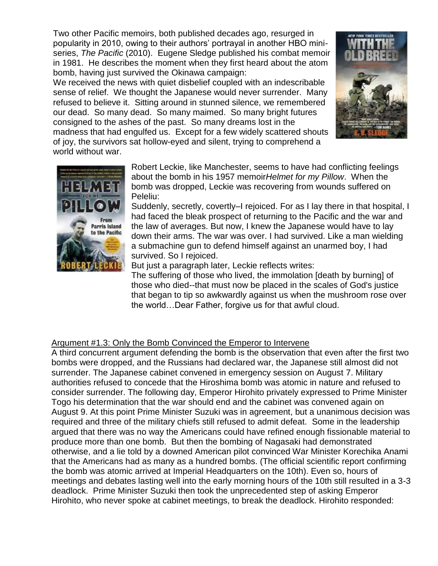Two other Pacific memoirs, both published decades ago, resurged in popularity in 2010, owing to their authors' portrayal in another HBO miniseries, *The Pacific* (2010). Eugene Sledge published his combat memoir in 1981. He describes the moment when they first heard about the atom bomb, having just survived the Okinawa campaign:

We received the news with quiet disbelief coupled with an indescribable sense of relief. We thought the Japanese would never surrender. Many refused to believe it. Sitting around in stunned silence, we remembered our dead. So many dead. So many maimed. So many bright futures consigned to the ashes of the past. So many dreams lost in the madness that had engulfed us. Except for a few widely scattered shouts of joy, the survivors sat hollow-eyed and silent, trying to comprehend a world without war.





Robert Leckie, like Manchester, seems to have had conflicting feelings about the bomb in his 1957 memoir*Helmet for my Pillow*. When the bomb was dropped, Leckie was recovering from wounds suffered on Peleliu:

Suddenly, secretly, covertly–I rejoiced. For as I lay there in that hospital, I had faced the bleak prospect of returning to the Pacific and the war and the law of averages. But now, I knew the Japanese would have to lay down their arms. The war was over. I had survived. Like a man wielding a submachine gun to defend himself against an unarmed boy, I had survived. So I rejoiced.

But just a paragraph later, Leckie reflects writes:

The suffering of those who lived, the immolation [death by burning] of those who died--that must now be placed in the scales of God's justice that began to tip so awkwardly against us when the mushroom rose over the world…Dear Father, forgive us for that awful cloud.

## Argument #1.3: Only the Bomb Convinced the Emperor to Intervene

A third concurrent argument defending the bomb is the observation that even after the first two bombs were dropped, and the Russians had declared war, the Japanese still almost did not surrender. The Japanese cabinet convened in emergency session on August 7. Military authorities refused to concede that the Hiroshima bomb was atomic in nature and refused to consider surrender. The following day, Emperor Hirohito privately expressed to Prime Minister Togo his determination that the war should end and the cabinet was convened again on August 9. At this point Prime Minister Suzuki was in agreement, but a unanimous decision was required and three of the military chiefs still refused to admit defeat. Some in the leadership argued that there was no way the Americans could have refined enough fissionable material to produce more than one bomb. But then the bombing of Nagasaki had demonstrated otherwise, and a lie told by a downed American pilot convinced War Minister Korechika Anami that the Americans had as many as a hundred bombs. (The official scientific report confirming the bomb was atomic arrived at Imperial Headquarters on the 10th). Even so, hours of meetings and debates lasting well into the early morning hours of the 10th still resulted in a 3-3 deadlock. Prime Minister Suzuki then took the unprecedented step of asking Emperor Hirohito, who never spoke at cabinet meetings, to break the deadlock. Hirohito responded: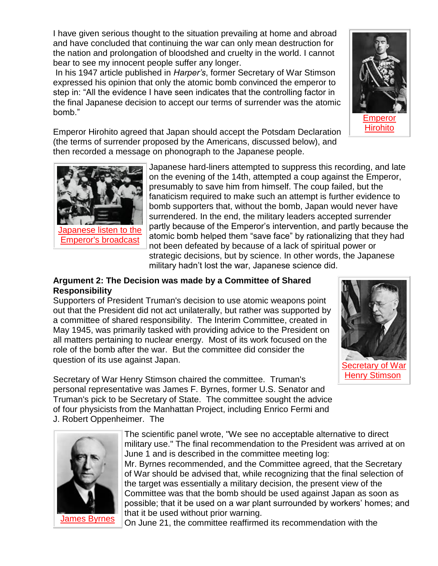I have given serious thought to the situation prevailing at home and abroad and have concluded that continuing the war can only mean destruction for the nation and prolongation of bloodshed and cruelty in the world. I cannot bear to see my innocent people suffer any longer.

In his 1947 article published in *Harper's*, former Secretary of War Stimson expressed his opinion that only the atomic bomb convinced the emperor to step in: "All the evidence I have seen indicates that the controlling factor in the final Japanese decision to accept our terms of surrender was the atomic bomb."

Emperor Hirohito agreed that Japan should accept the Potsdam Declaration (the terms of surrender proposed by the Americans, discussed below), and then recorded a message on phonograph to the Japanese people.

> Japanese hard-liners attempted to suppress this recording, and late on the evening of the 14th, attempted a coup against the Emperor, presumably to save him from himself. The coup failed, but the fanaticism required to make such an attempt is further evidence to bomb supporters that, without the bomb, Japan would never have surrendered. In the end, the military leaders accepted surrender partly because of the Emperor's intervention, and partly because the atomic bomb helped them "save face" by rationalizing that they had not been defeated by because of a lack of spiritual power or strategic decisions, but by science. In other words, the Japanese military hadn't lost the war, Japanese science did.

## **Argument 2: The Decision was made by a Committee of Shared Responsibility**

Supporters of President Truman's decision to use atomic weapons point out that the President did not act unilaterally, but rather was supported by a committee of shared responsibility. The Interim Committee, created in May 1945, was primarily tasked with providing advice to the President on all matters pertaining to nuclear energy. Most of its work focused on the role of the bomb after the war. But the committee did consider the question of its use against Japan.

Secretary of War Henry Stimson chaired the committee. Truman's personal representative was James F. Byrnes, former U.S. Senator and Truman's pick to be Secretary of State. The committee sought the advice of four physicists from the Manhattan Project, including Enrico Fermi and J. Robert Oppenheimer. The





**Japanese listen to the** [Emperor's broadcast](http://www.authentichistory.com/1939-1945/1-war/4-Pacific/4-abombdecision/2-support/1945_Japanese_Listen_to_Hirohito_Radio_Message.jpg)

[James Byrnes](http://www.authentichistory.com/1939-1945/1-war/4-Pacific/4-abombdecision/2-support/James_Byrnes_1945.jpg)

On June 21, the committee reaffirmed its recommendation with the





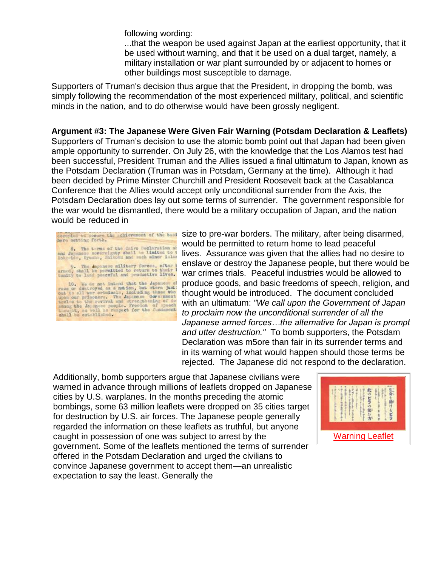following wording:

...that the weapon be used against Japan at the earliest opportunity, that it be used without warning, and that it be used on a dual target, namely, a military installation or war plant surrounded by or adjacent to homes or other buildings most susceptible to damage.

Supporters of Truman's decision thus argue that the President, in dropping the bomb, was simply following the recommendation of the most experienced military, political, and scientific minds in the nation, and to do otherwise would have been grossly negligent.

**Argument #3: The Japanese Were Given Fair Warning (Potsdam Declaration & Leaflets)** Supporters of Truman's decision to use the atomic bomb point out that Japan had been given ample opportunity to surrender. On July 26, with the knowledge that the Los Alamos test had been successful, President Truman and the Allies issued a final ultimatum to Japan, known as the Potsdam Declaration (Truman was in Potsdam, Germany at the time). Although it had been decided by Prime Minster Churchill and President Roosevelt back at the Casablanca Conference that the Allies would accept only unconditional surrender from the Axis, the Potsdam Declaration does lay out some terms of surrender. The government responsible for the war would be dismantled, there would be a military occupation of Japan, and the nation would be reduced in

| occupied to secure the achievement of the basi<br>here setting forth.                                                                                                                                                                                                                                                                                                  |
|------------------------------------------------------------------------------------------------------------------------------------------------------------------------------------------------------------------------------------------------------------------------------------------------------------------------------------------------------------------------|
| 8. The terms of the Cairo Beclaration at<br>and Japaness sovereignty shall be limited to t<br>Hokkeido, Kyushu, Shikoku and such minor iuler                                                                                                                                                                                                                           |
| 9. The Japonese military forces, after b<br>armed, shall be permitted to return to their I<br>tunity to lead peaceful and productive lives.                                                                                                                                                                                                                            |
| 10. We do not intend that the Japanese al<br>race or destroyed as a notion, but starn just:<br>out to all wer criminals, including those who<br>upon our prisoners. The Japanese Covernment<br>theles to the revival and strengthaning of de<br>among the Japanese pacolo. Freedom of speech<br>thought, as well as respect for the fundament<br>shall be established. |

size to pre-war borders. The military, after being disarmed, would be permitted to return home to lead peaceful lives. Assurance was given that the allies had no desire to enslave or destroy the Japanese people, but there would be war crimes trials. Peaceful industries would be allowed to produce goods, and basic freedoms of speech, religion, and thought would be introduced. The document concluded with an ultimatum: *"We call upon the Government of Japan to proclaim now the unconditional surrender of all the Japanese armed forces…the alternative for Japan is prompt and utter destruction."* To bomb supporters, the Potsdam Declaration was m5ore than fair in its surrender terms and in its warning of what would happen should those terms be rejected. The Japanese did not respond to the declaration.

Additionally, bomb supporters argue that Japanese civilians were warned in advance through millions of leaflets dropped on Japanese cities by U.S. warplanes. In the months preceding the atomic bombings, some 63 million leaflets were dropped on 35 cities target for destruction by U.S. air forces. The Japanese people generally regarded the information on these leaflets as truthful, but anyone caught in possession of one was subject to arrest by the government. Some of the leaflets mentioned the terms of surrender offered in the Potsdam Declaration and urged the civilians to convince Japanese government to accept them—an unrealistic expectation to say the least. Generally the

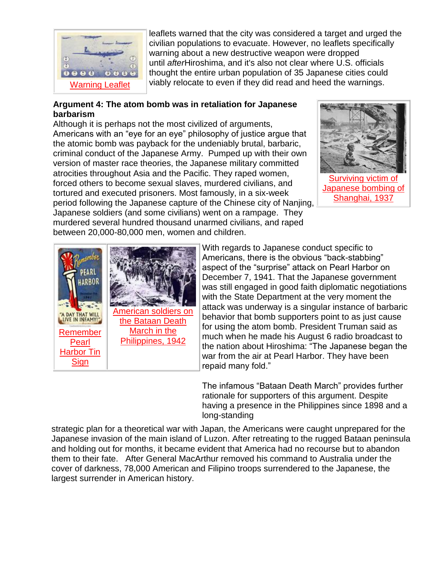

leaflets warned that the city was considered a target and urged the civilian populations to evacuate. However, no leaflets specifically warning about a new destructive weapon were dropped until *after*Hiroshima, and it's also not clear where U.S. officials thought the entire urban population of 35 Japanese cities could viably relocate to even if they did read and heed the warnings.

## **Argument 4: The atom bomb was in retaliation for Japanese barbarism**

Although it is perhaps not the most civilized of arguments, Americans with an "eye for an eye" philosophy of justice argue that the atomic bomb was payback for the undeniably brutal, barbaric, criminal conduct of the Japanese Army. Pumped up with their own version of master race theories, the Japanese military committed atrocities throughout Asia and the Pacific. They raped women, forced others to become sexual slaves, murdered civilians, and tortured and executed prisoners. Most famously, in a six-week period following the Japanese capture of the Chinese city of Nanjing, Japanese soldiers (and some civilians) went on a rampage. They murdered several hundred thousand unarmed civilians, and raped





between 20,000-80,000 men, women and children.

With regards to Japanese conduct specific to Americans, there is the obvious "back-stabbing" aspect of the "surprise" attack on Pearl Harbor on December 7, 1941. That the Japanese government was still engaged in good faith diplomatic negotiations with the State Department at the very moment the attack was underway is a singular instance of barbaric behavior that bomb supporters point to as just cause for using the atom bomb. President Truman said as much when he made his August 6 radio broadcast to the nation about Hiroshima: "The Japanese began the war from the air at Pearl Harbor. They have been repaid many fold."

The infamous "Bataan Death March" provides further rationale for supporters of this argument. Despite having a presence in the Philippines since 1898 and a long-standing

strategic plan for a theoretical war with Japan, the Americans were caught unprepared for the Japanese invasion of the main island of Luzon. After retreating to the rugged Bataan peninsula and holding out for months, it became evident that America had no recourse but to abandon them to their fate. After General MacArthur removed his command to Australia under the cover of darkness, 78,000 American and Filipino troops surrendered to the Japanese, the largest surrender in American history.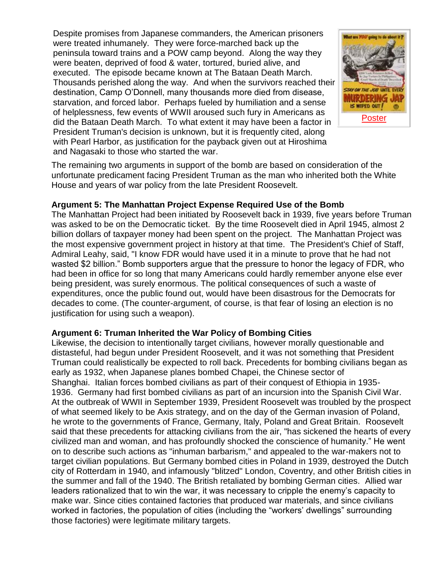Despite promises from Japanese commanders, the American prisoners were treated inhumanely. They were force-marched back up the peninsula toward trains and a POW camp beyond. Along the way they were beaten, deprived of food & water, tortured, buried alive, and executed. The episode became known at The Bataan Death March. Thousands perished along the way. And when the survivors reached their destination, Camp O'Donnell, many thousands more died from disease, starvation, and forced labor. Perhaps fueled by humiliation and a sense of helplessness, few events of WWII aroused such fury in Americans as did the Bataan Death March. To what extent it may have been a factor in President Truman's decision is unknown, but it is frequently cited, along with Pearl Harbor, as justification for the payback given out at Hiroshima and Nagasaki to those who started the war.



The remaining two arguments in support of the bomb are based on consideration of the unfortunate predicament facing President Truman as the man who inherited both the White House and years of war policy from the late President Roosevelt.

### **Argument 5: The Manhattan Project Expense Required Use of the Bomb**

The Manhattan Project had been initiated by Roosevelt back in 1939, five years before Truman was asked to be on the Democratic ticket. By the time Roosevelt died in April 1945, almost 2 billion dollars of taxpayer money had been spent on the project. The Manhattan Project was the most expensive government project in history at that time. The President's Chief of Staff, Admiral Leahy, said, "I know FDR would have used it in a minute to prove that he had not wasted \$2 billion." Bomb supporters argue that the pressure to honor the legacy of FDR, who had been in office for so long that many Americans could hardly remember anyone else ever being president, was surely enormous. The political consequences of such a waste of expenditures, once the public found out, would have been disastrous for the Democrats for decades to come. (The counter-argument, of course, is that fear of losing an election is no justification for using such a weapon).

### **Argument 6: Truman Inherited the War Policy of Bombing Cities**

Likewise, the decision to intentionally target civilians, however morally questionable and distasteful, had begun under President Roosevelt, and it was not something that President Truman could realistically be expected to roll back. Precedents for bombing civilians began as early as 1932, when Japanese planes bombed Chapei, the Chinese sector of Shanghai. Italian forces bombed civilians as part of their conquest of Ethiopia in 1935- 1936. Germany had first bombed civilians as part of an incursion into the Spanish Civil War. At the outbreak of WWII in September 1939, President Roosevelt was troubled by the prospect of what seemed likely to be Axis strategy, and on the day of the German invasion of Poland, he wrote to the governments of France, Germany, Italy, Poland and Great Britain. Roosevelt said that these precedents for attacking civilians from the air, "has sickened the hearts of every civilized man and woman, and has profoundly shocked the conscience of humanity." He went on to describe such actions as "inhuman barbarism," and appealed to the war-makers not to target civilian populations. But Germany bombed cities in Poland in 1939, destroyed the Dutch city of Rotterdam in 1940, and infamously "blitzed" London, Coventry, and other British cities in the summer and fall of the 1940. The British retaliated by bombing German cities. Allied war leaders rationalized that to win the war, it was necessary to cripple the enemy's capacity to make war. Since cities contained factories that produced war materials, and since civilians worked in factories, the population of cities (including the "workers' dwellings" surrounding those factories) were legitimate military targets.